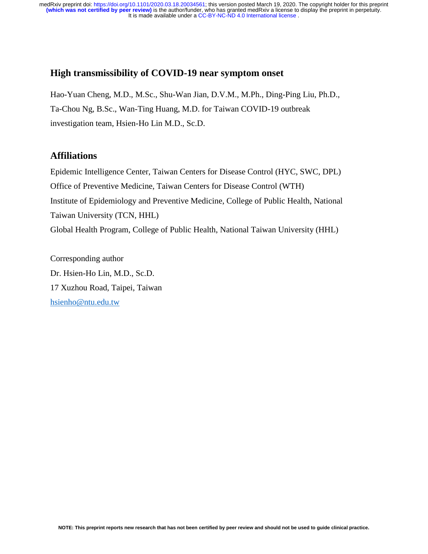## **High transmissibility of COVID-19 near symptom onset**

Hao-Yuan Cheng, M.D., M.Sc., Shu-Wan Jian, D.V.M., M.Ph., Ding-Ping Liu, Ph.D., Ta-Chou Ng, B.Sc., Wan-Ting Huang, M.D. for Taiwan COVID-19 outbreak investigation team, Hsien-Ho Lin M.D., Sc.D.

## **Affiliations**

Epidemic Intelligence Center, Taiwan Centers for Disease Control (HYC, SWC, DPL) Office of Preventive Medicine, Taiwan Centers for Disease Control (WTH) Institute of Epidemiology and Preventive Medicine, College of Public Health, National Taiwan University (TCN, HHL) Global Health Program, College of Public Health, National Taiwan University (HHL)

Corresponding author Dr. Hsien-Ho Lin, M.D., Sc.D. 17 Xuzhou Road, Taipei, Taiwan [hsienho@ntu.edu.tw](mailto:hsienho@ntu.edu.tw)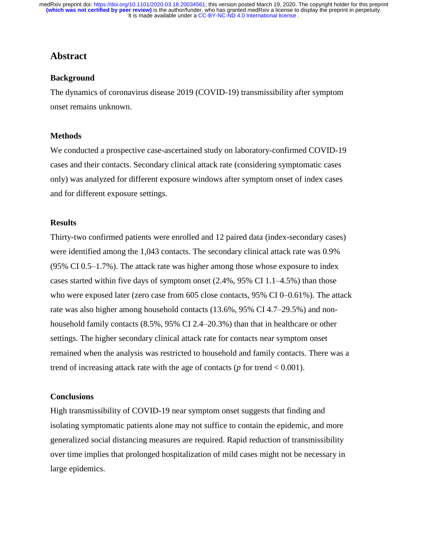## **Abstract**

#### **Background**

The dynamics of coronavirus disease 2019 (COVID-19) transmissibility after symptom onset remains unknown.

#### **Methods**

We conducted a prospective case-ascertained study on laboratory-confirmed COVID-19 cases and their contacts. Secondary clinical attack rate (considering symptomatic cases only) was analyzed for different exposure windows after symptom onset of index cases and for different exposure settings.

#### **Results**

Thirty-two confirmed patients were enrolled and 12 paired data (index-secondary cases) were identified among the 1,043 contacts. The secondary clinical attack rate was 0.9% (95% CI 0.5–1.7%). The attack rate was higher among those whose exposure to index cases started within five days of symptom onset (2.4%, 95% CI 1.1–4.5%) than those who were exposed later (zero case from 605 close contacts, 95% CI 0–0.61%). The attack rate was also higher among household contacts (13.6%, 95% CI 4.7–29.5%) and nonhousehold family contacts  $(8.5\%, 95\% \text{ CI } 2.4-20.3\%)$  than that in healthcare or other settings. The higher secondary clinical attack rate for contacts near symptom onset remained when the analysis was restricted to household and family contacts. There was a trend of increasing attack rate with the age of contacts ( $p$  for trend  $< 0.001$ ).

#### **Conclusions**

High transmissibility of COVID-19 near symptom onset suggests that finding and isolating symptomatic patients alone may not suffice to contain the epidemic, and more generalized social distancing measures are required. Rapid reduction of transmissibility over time implies that prolonged hospitalization of mild cases might not be necessary in large epidemics.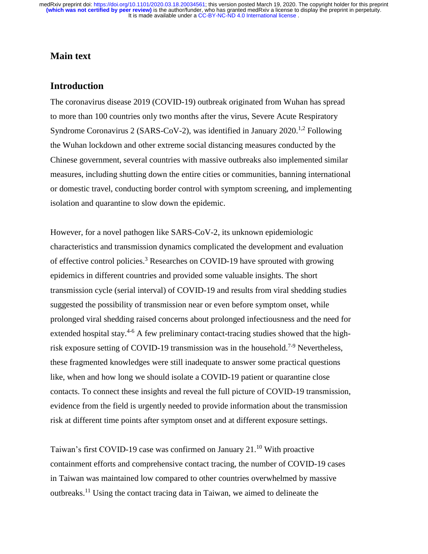## **Main text**

## **Introduction**

The coronavirus disease 2019 (COVID-19) outbreak originated from Wuhan has spread to more than 100 countries only two months after the virus, Severe Acute Respiratory Syndrome Coronavirus 2 (SARS-CoV-2), was identified in January 2020.<sup>1,2</sup> Following the Wuhan lockdown and other extreme social distancing measures conducted by the Chinese government, several countries with massive outbreaks also implemented similar measures, including shutting down the entire cities or communities, banning international or domestic travel, conducting border control with symptom screening, and implementing isolation and quarantine to slow down the epidemic.

However, for a novel pathogen like SARS-CoV-2, its unknown epidemiologic characteristics and transmission dynamics complicated the development and evaluation of effective control policies.<sup>3</sup> Researches on COVID-19 have sprouted with growing epidemics in different countries and provided some valuable insights. The short transmission cycle (serial interval) of COVID-19 and results from viral shedding studies suggested the possibility of transmission near or even before symptom onset, while prolonged viral shedding raised concerns about prolonged infectiousness and the need for extended hospital stay.<sup>4-6</sup> A few preliminary contact-tracing studies showed that the highrisk exposure setting of COVID-19 transmission was in the household.<sup>7-9</sup> Nevertheless, these fragmented knowledges were still inadequate to answer some practical questions like, when and how long we should isolate a COVID-19 patient or quarantine close contacts. To connect these insights and reveal the full picture of COVID-19 transmission, evidence from the field is urgently needed to provide information about the transmission risk at different time points after symptom onset and at different exposure settings.

Taiwan's first COVID-19 case was confirmed on January  $21.^{10}$  With proactive containment efforts and comprehensive contact tracing, the number of COVID-19 cases in Taiwan was maintained low compared to other countries overwhelmed by massive outbreaks.<sup>11</sup> Using the contact tracing data in Taiwan, we aimed to delineate the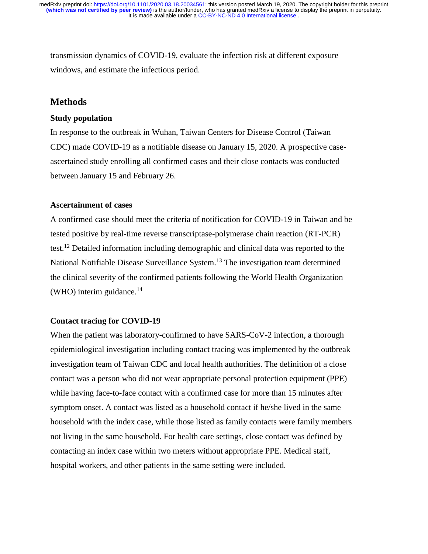transmission dynamics of COVID-19, evaluate the infection risk at different exposure windows, and estimate the infectious period.

### **Methods**

#### **Study population**

In response to the outbreak in Wuhan, Taiwan Centers for Disease Control (Taiwan CDC) made COVID-19 as a notifiable disease on January 15, 2020. A prospective caseascertained study enrolling all confirmed cases and their close contacts was conducted between January 15 and February 26.

#### **Ascertainment of cases**

A confirmed case should meet the criteria of notification for COVID-19 in Taiwan and be tested positive by real-time reverse transcriptase-polymerase chain reaction (RT-PCR) test.<sup>12</sup> Detailed information including demographic and clinical data was reported to the National Notifiable Disease Surveillance System.<sup>13</sup> The investigation team determined the clinical severity of the confirmed patients following the World Health Organization (WHO) interim guidance. $^{14}$ 

#### **Contact tracing for COVID-19**

When the patient was laboratory-confirmed to have SARS-CoV-2 infection, a thorough epidemiological investigation including contact tracing was implemented by the outbreak investigation team of Taiwan CDC and local health authorities. The definition of a close contact was a person who did not wear appropriate personal protection equipment (PPE) while having face-to-face contact with a confirmed case for more than 15 minutes after symptom onset. A contact was listed as a household contact if he/she lived in the same household with the index case, while those listed as family contacts were family members not living in the same household. For health care settings, close contact was defined by contacting an index case within two meters without appropriate PPE. Medical staff, hospital workers, and other patients in the same setting were included.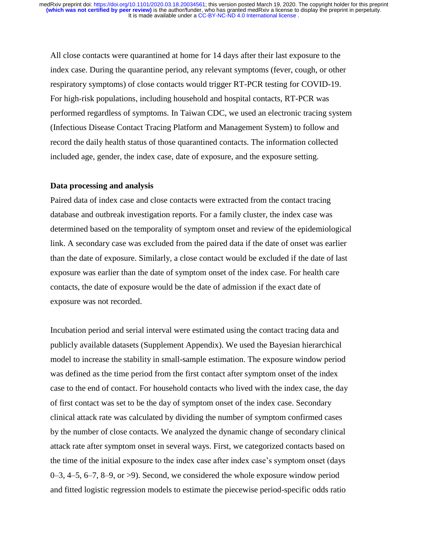All close contacts were quarantined at home for 14 days after their last exposure to the index case. During the quarantine period, any relevant symptoms (fever, cough, or other respiratory symptoms) of close contacts would trigger RT-PCR testing for COVID-19. For high-risk populations, including household and hospital contacts, RT-PCR was performed regardless of symptoms. In Taiwan CDC, we used an electronic tracing system (Infectious Disease Contact Tracing Platform and Management System) to follow and record the daily health status of those quarantined contacts. The information collected included age, gender, the index case, date of exposure, and the exposure setting.

#### **Data processing and analysis**

Paired data of index case and close contacts were extracted from the contact tracing database and outbreak investigation reports. For a family cluster, the index case was determined based on the temporality of symptom onset and review of the epidemiological link. A secondary case was excluded from the paired data if the date of onset was earlier than the date of exposure. Similarly, a close contact would be excluded if the date of last exposure was earlier than the date of symptom onset of the index case. For health care contacts, the date of exposure would be the date of admission if the exact date of exposure was not recorded.

Incubation period and serial interval were estimated using the contact tracing data and publicly available datasets (Supplement Appendix). We used the Bayesian hierarchical model to increase the stability in small-sample estimation. The exposure window period was defined as the time period from the first contact after symptom onset of the index case to the end of contact. For household contacts who lived with the index case, the day of first contact was set to be the day of symptom onset of the index case. Secondary clinical attack rate was calculated by dividing the number of symptom confirmed cases by the number of close contacts. We analyzed the dynamic change of secondary clinical attack rate after symptom onset in several ways. First, we categorized contacts based on the time of the initial exposure to the index case after index case's symptom onset (days 0–3, 4–5, 6–7, 8–9, or >9). Second, we considered the whole exposure window period and fitted logistic regression models to estimate the piecewise period-specific odds ratio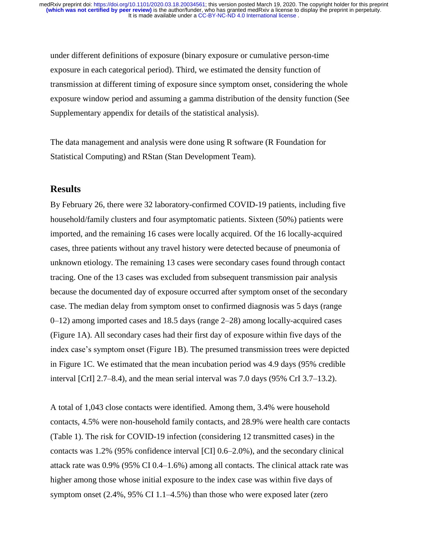under different definitions of exposure (binary exposure or cumulative person-time exposure in each categorical period). Third, we estimated the density function of transmission at different timing of exposure since symptom onset, considering the whole exposure window period and assuming a gamma distribution of the density function (See Supplementary appendix for details of the statistical analysis).

The data management and analysis were done using R software (R Foundation for Statistical Computing) and RStan (Stan Development Team).

## **Results**

By February 26, there were 32 laboratory-confirmed COVID-19 patients, including five household/family clusters and four asymptomatic patients. Sixteen (50%) patients were imported, and the remaining 16 cases were locally acquired. Of the 16 locally-acquired cases, three patients without any travel history were detected because of pneumonia of unknown etiology. The remaining 13 cases were secondary cases found through contact tracing. One of the 13 cases was excluded from subsequent transmission pair analysis because the documented day of exposure occurred after symptom onset of the secondary case. The median delay from symptom onset to confirmed diagnosis was 5 days (range 0–12) among imported cases and 18.5 days (range 2–28) among locally-acquired cases (Figure 1A). All secondary cases had their first day of exposure within five days of the index case's symptom onset (Figure 1B). The presumed transmission trees were depicted in Figure 1C. We estimated that the mean incubation period was 4.9 days (95% credible interval [CrI] 2.7–8.4), and the mean serial interval was 7.0 days (95% CrI 3.7–13.2).

A total of 1,043 close contacts were identified. Among them, 3.4% were household contacts, 4.5% were non-household family contacts, and 28.9% were health care contacts (Table 1). The risk for COVID-19 infection (considering 12 transmitted cases) in the contacts was 1.2% (95% confidence interval [CI] 0.6–2.0%), and the secondary clinical attack rate was 0.9% (95% CI 0.4–1.6%) among all contacts. The clinical attack rate was higher among those whose initial exposure to the index case was within five days of symptom onset (2.4%, 95% CI 1.1–4.5%) than those who were exposed later (zero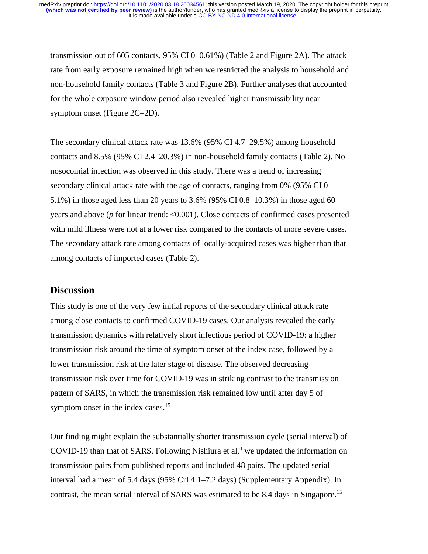transmission out of 605 contacts, 95% CI 0–0.61%) (Table 2 and Figure 2A). The attack rate from early exposure remained high when we restricted the analysis to household and non-household family contacts (Table 3 and Figure 2B). Further analyses that accounted for the whole exposure window period also revealed higher transmissibility near symptom onset (Figure 2C–2D).

The secondary clinical attack rate was 13.6% (95% CI 4.7–29.5%) among household contacts and 8.5% (95% CI 2.4–20.3%) in non-household family contacts (Table 2). No nosocomial infection was observed in this study. There was a trend of increasing secondary clinical attack rate with the age of contacts, ranging from 0% (95% CI 0– 5.1%) in those aged less than 20 years to 3.6% (95% CI 0.8–10.3%) in those aged 60 years and above (*p* for linear trend: <0.001). Close contacts of confirmed cases presented with mild illness were not at a lower risk compared to the contacts of more severe cases. The secondary attack rate among contacts of locally-acquired cases was higher than that among contacts of imported cases (Table 2).

## **Discussion**

This study is one of the very few initial reports of the secondary clinical attack rate among close contacts to confirmed COVID-19 cases. Our analysis revealed the early transmission dynamics with relatively short infectious period of COVID-19: a higher transmission risk around the time of symptom onset of the index case, followed by a lower transmission risk at the later stage of disease. The observed decreasing transmission risk over time for COVID-19 was in striking contrast to the transmission pattern of SARS, in which the transmission risk remained low until after day 5 of symptom onset in the index cases.<sup>15</sup>

Our finding might explain the substantially shorter transmission cycle (serial interval) of COVID-19 than that of SARS. Following Nishiura et al,<sup>4</sup> we updated the information on transmission pairs from published reports and included 48 pairs. The updated serial interval had a mean of 5.4 days (95% CrI 4.1–7.2 days) (Supplementary Appendix). In contrast, the mean serial interval of SARS was estimated to be 8.4 days in Singapore.<sup>15</sup>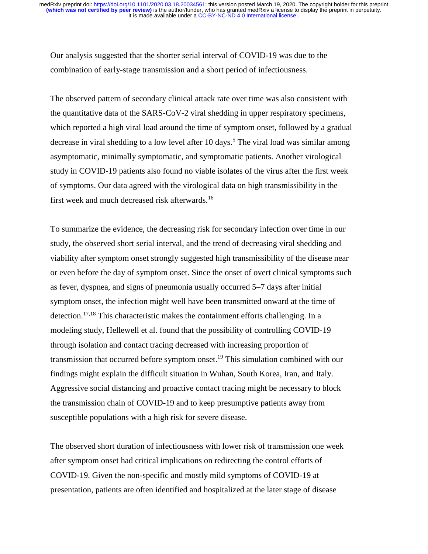Our analysis suggested that the shorter serial interval of COVID-19 was due to the combination of early-stage transmission and a short period of infectiousness.

The observed pattern of secondary clinical attack rate over time was also consistent with the quantitative data of the SARS-CoV-2 viral shedding in upper respiratory specimens, which reported a high viral load around the time of symptom onset, followed by a gradual decrease in viral shedding to a low level after 10 days.<sup>5</sup> The viral load was similar among asymptomatic, minimally symptomatic, and symptomatic patients. Another virological study in COVID-19 patients also found no viable isolates of the virus after the first week of symptoms. Our data agreed with the virological data on high transmissibility in the first week and much decreased risk afterwards.<sup>16</sup>

To summarize the evidence, the decreasing risk for secondary infection over time in our study, the observed short serial interval, and the trend of decreasing viral shedding and viability after symptom onset strongly suggested high transmissibility of the disease near or even before the day of symptom onset. Since the onset of overt clinical symptoms such as fever, dyspnea, and signs of pneumonia usually occurred 5–7 days after initial symptom onset, the infection might well have been transmitted onward at the time of detection.17,18 This characteristic makes the containment efforts challenging. In a modeling study, Hellewell et al. found that the possibility of controlling COVID-19 through isolation and contact tracing decreased with increasing proportion of transmission that occurred before symptom onset.<sup>19</sup> This simulation combined with our findings might explain the difficult situation in Wuhan, South Korea, Iran, and Italy. Aggressive social distancing and proactive contact tracing might be necessary to block the transmission chain of COVID-19 and to keep presumptive patients away from susceptible populations with a high risk for severe disease.

The observed short duration of infectiousness with lower risk of transmission one week after symptom onset had critical implications on redirecting the control efforts of COVID-19. Given the non-specific and mostly mild symptoms of COVID-19 at presentation, patients are often identified and hospitalized at the later stage of disease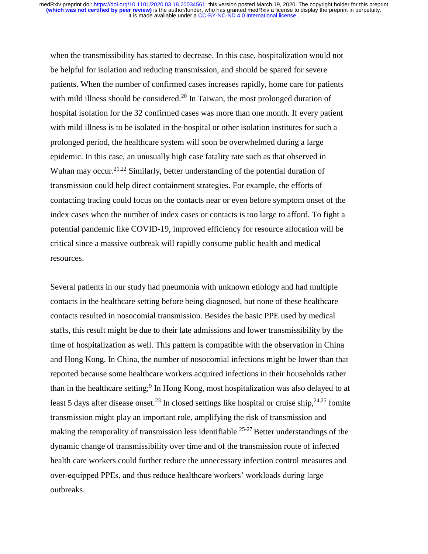when the transmissibility has started to decrease. In this case, hospitalization would not be helpful for isolation and reducing transmission, and should be spared for severe patients. When the number of confirmed cases increases rapidly, home care for patients with mild illness should be considered.<sup>20</sup> In Taiwan, the most prolonged duration of hospital isolation for the 32 confirmed cases was more than one month. If every patient with mild illness is to be isolated in the hospital or other isolation institutes for such a prolonged period, the healthcare system will soon be overwhelmed during a large epidemic. In this case, an unusually high case fatality rate such as that observed in Wuhan may occur.<sup>21,22</sup> Similarly, better understanding of the potential duration of transmission could help direct containment strategies. For example, the efforts of contacting tracing could focus on the contacts near or even before symptom onset of the index cases when the number of index cases or contacts is too large to afford. To fight a potential pandemic like COVID-19, improved efficiency for resource allocation will be critical since a massive outbreak will rapidly consume public health and medical resources.

Several patients in our study had pneumonia with unknown etiology and had multiple contacts in the healthcare setting before being diagnosed, but none of these healthcare contacts resulted in nosocomial transmission. Besides the basic PPE used by medical staffs, this result might be due to their late admissions and lower transmissibility by the time of hospitalization as well. This pattern is compatible with the observation in China and Hong Kong. In China, the number of nosocomial infections might be lower than that reported because some healthcare workers acquired infections in their households rather than in the healthcare setting;<sup>9</sup> In Hong Kong, most hospitalization was also delayed to at least 5 days after disease onset.<sup>23</sup> In closed settings like hospital or cruise ship,  $24,25$  fomite transmission might play an important role, amplifying the risk of transmission and making the temporality of transmission less identifiable.<sup>25-27</sup> Better understandings of the dynamic change of transmissibility over time and of the transmission route of infected health care workers could further reduce the unnecessary infection control measures and over-equipped PPEs, and thus reduce healthcare workers' workloads during large outbreaks.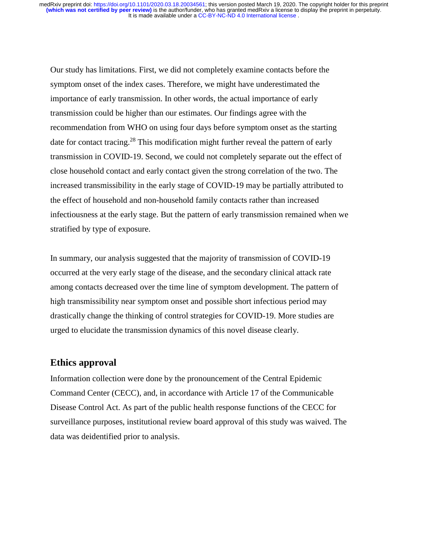Our study has limitations. First, we did not completely examine contacts before the symptom onset of the index cases. Therefore, we might have underestimated the importance of early transmission. In other words, the actual importance of early transmission could be higher than our estimates. Our findings agree with the recommendation from WHO on using four days before symptom onset as the starting date for contact tracing.<sup>28</sup> This modification might further reveal the pattern of early transmission in COVID-19. Second, we could not completely separate out the effect of close household contact and early contact given the strong correlation of the two. The increased transmissibility in the early stage of COVID-19 may be partially attributed to the effect of household and non-household family contacts rather than increased infectiousness at the early stage. But the pattern of early transmission remained when we stratified by type of exposure.

In summary, our analysis suggested that the majority of transmission of COVID-19 occurred at the very early stage of the disease, and the secondary clinical attack rate among contacts decreased over the time line of symptom development. The pattern of high transmissibility near symptom onset and possible short infectious period may drastically change the thinking of control strategies for COVID-19. More studies are urged to elucidate the transmission dynamics of this novel disease clearly.

## **Ethics approval**

Information collection were done by the pronouncement of the Central Epidemic Command Center (CECC), and, in accordance with Article 17 of the Communicable Disease Control Act. As part of the public health response functions of the CECC for surveillance purposes, institutional review board approval of this study was waived. The data was deidentified prior to analysis.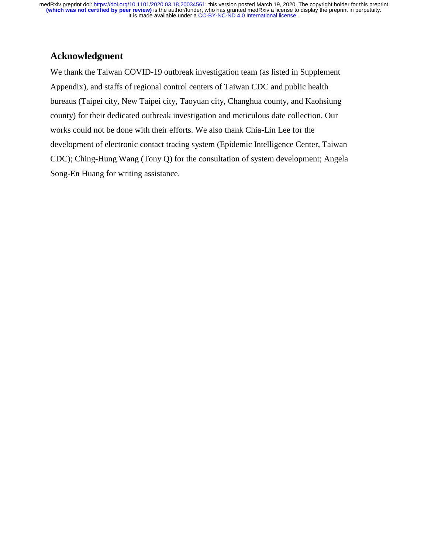## **Acknowledgment**

We thank the Taiwan COVID-19 outbreak investigation team (as listed in Supplement Appendix), and staffs of regional control centers of Taiwan CDC and public health bureaus (Taipei city, New Taipei city, Taoyuan city, Changhua county, and Kaohsiung county) for their dedicated outbreak investigation and meticulous date collection. Our works could not be done with their efforts. We also thank Chia-Lin Lee for the development of electronic contact tracing system (Epidemic Intelligence Center, Taiwan CDC); Ching-Hung Wang (Tony Q) for the consultation of system development; Angela Song-En Huang for writing assistance.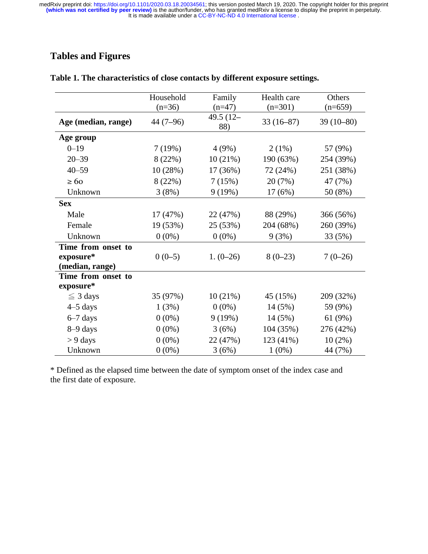# **Tables and Figures**

|                     | Household  | Family              | Health care | Others      |
|---------------------|------------|---------------------|-------------|-------------|
|                     | $(n=36)$   | $(n=47)$            | $(n=301)$   | $(n=659)$   |
| Age (median, range) | $44(7-96)$ | 49.5 $(12 -$<br>88) | $33(16-87)$ | $39(10-80)$ |
| Age group           |            |                     |             |             |
| $0 - 19$            | 7(19%)     | 4(9%)               | 2(1%)       | 57 (9%)     |
| $20 - 39$           | 8(22%)     | 10(21%)             | 190 (63%)   | 254 (39%)   |
| $40 - 59$           | 10(28%)    | 17 (36%)            | 72 (24%)    | 251 (38%)   |
| $\geq 60$           | 8(22%)     | 7(15%)              | 20 (7%)     | 47 (7%)     |
| Unknown             | 3(8%)      | 9(19%)              | 17(6%)      | 50 (8%)     |
| <b>Sex</b>          |            |                     |             |             |
| Male                | 17(47%)    | 22 (47%)            | 88 (29%)    | 366 (56%)   |
| Female              | 19 (53%)   | 25 (53%)            | 204 (68%)   | 260 (39%)   |
| Unknown             | $0(0\%)$   | $0(0\%)$            | 9(3%)       | 33 (5%)     |
| Time from onset to  |            |                     |             |             |
| exposure*           | $0(0-5)$   | $1. (0-26)$         | $8(0-23)$   | $7(0-26)$   |
| (median, range)     |            |                     |             |             |
| Time from onset to  |            |                     |             |             |
| exposure*           |            |                     |             |             |
| $\leq$ 3 days       | 35 (97%)   | 10(21%)             | 45 (15%)    | 209 (32%)   |
| $4-5$ days          | 1(3%)      | $0(0\%)$            | 14(5%)      | 59 (9%)     |
| $6-7$ days          | $0(0\%)$   | 9(19%)              | 14 (5%)     | 61 (9%)     |
| 8-9 days            | $0(0\%)$   | 3(6%)               | 104 (35%)   | 276 (42%)   |
| $> 9$ days          | $0(0\%)$   | 22 (47%)            | 123 (41%)   | $10(2\%)$   |
| Unknown             | $0(0\%)$   | 3(6%)               | $1(0\%)$    | 44 (7%)     |

## **Table 1. The characteristics of close contacts by different exposure settings.**

\* Defined as the elapsed time between the date of symptom onset of the index case and the first date of exposure.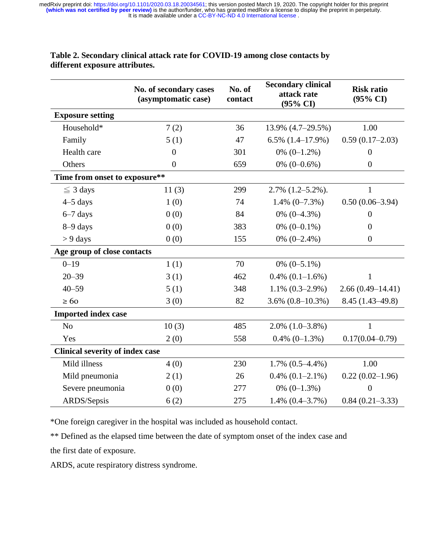|                                        | No. of secondary cases<br>(asymptomatic case) | <b>Secondary clinical</b><br>No. of<br>attack rate<br>contact<br>$(95\% \text{ CI})$ |                         | <b>Risk ratio</b><br>$(95\% \text{ CI})$ |  |  |  |  |
|----------------------------------------|-----------------------------------------------|--------------------------------------------------------------------------------------|-------------------------|------------------------------------------|--|--|--|--|
| <b>Exposure setting</b>                |                                               |                                                                                      |                         |                                          |  |  |  |  |
| Household*                             | 7(2)                                          | 36                                                                                   | 13.9% (4.7–29.5%)       | 1.00                                     |  |  |  |  |
| Family                                 | 5(1)                                          | 47                                                                                   | $6.5\%$ $(1.4-17.9\%)$  | $0.59(0.17-2.03)$                        |  |  |  |  |
| Health care                            | $\overline{0}$                                | 301                                                                                  | $0\%$ $(0-1.2\%)$       | $\overline{0}$                           |  |  |  |  |
| Others                                 | $\overline{0}$                                | 0% $(0-0.6\%)$<br>659                                                                |                         | $\overline{0}$                           |  |  |  |  |
|                                        | Time from onset to exposure**                 |                                                                                      |                         |                                          |  |  |  |  |
| $\leq$ 3 days                          | 11(3)                                         | 299                                                                                  | $2.7\%$ $(1.2-5.2\%)$ . | 1                                        |  |  |  |  |
| $4-5$ days                             | 1(0)                                          | 74                                                                                   | $1.4\%$ (0-7.3%)        | $0.50(0.06-3.94)$                        |  |  |  |  |
| $6-7$ days                             | 0(0)                                          | 84                                                                                   | $0\%$ $(0-4.3\%)$       | $\overline{0}$                           |  |  |  |  |
| 8-9 days                               | 0(0)                                          | 383                                                                                  | 0% $(0-0.1\%)$          | $\overline{0}$                           |  |  |  |  |
| $> 9$ days                             | 0(0)                                          | 155                                                                                  | 0% $(0-2.4\%)$          | $\overline{0}$                           |  |  |  |  |
| Age group of close contacts            |                                               |                                                                                      |                         |                                          |  |  |  |  |
| $0 - 19$                               | 1(1)                                          | 70                                                                                   | $0\%$ (0-5.1%)          |                                          |  |  |  |  |
| $20 - 39$                              | 3(1)                                          | 462                                                                                  | $0.4\%$ $(0.1-1.6\%)$   | $\mathbf{1}$                             |  |  |  |  |
| $40 - 59$                              | 5(1)                                          | 348                                                                                  | $1.1\% (0.3 - 2.9\%)$   | $2.66(0.49 - 14.41)$                     |  |  |  |  |
| $\geq 60$                              | 3(0)                                          | 82                                                                                   | $3.6\%$ $(0.8-10.3\%)$  | $8.45(1.43-49.8)$                        |  |  |  |  |
| <b>Imported index case</b>             |                                               |                                                                                      |                         |                                          |  |  |  |  |
| No                                     | 10(3)                                         | 485                                                                                  | $2.0\%$ $(1.0-3.8\%)$   | $\mathbf{1}$                             |  |  |  |  |
| Yes                                    | 2(0)                                          | 558                                                                                  | $0.4\%$ (0-1.3%)        | $0.17(0.04 - 0.79)$                      |  |  |  |  |
| <b>Clinical severity of index case</b> |                                               |                                                                                      |                         |                                          |  |  |  |  |
| Mild illness                           | 4(0)                                          | 230                                                                                  | $1.7\%$ $(0.5-4.4\%)$   | 1.00                                     |  |  |  |  |
| Mild pneumonia                         | 2(1)                                          | 26                                                                                   | $0.4\%$ $(0.1-2.1\%)$   | $0.22(0.02-1.96)$                        |  |  |  |  |
| Severe pneumonia                       | 0(0)                                          | 277                                                                                  | $0\%$ (0-1.3%)          | $\overline{0}$                           |  |  |  |  |
| ARDS/Sepsis                            | 6(2)                                          | 275                                                                                  | $1.4\%$ $(0.4-3.7\%)$   | $0.84(0.21 - 3.33)$                      |  |  |  |  |

**Table 2. Secondary clinical attack rate for COVID-19 among close contacts by different exposure attributes.** 

\*One foreign caregiver in the hospital was included as household contact.

\*\* Defined as the elapsed time between the date of symptom onset of the index case and the first date of exposure.

ARDS, acute respiratory distress syndrome.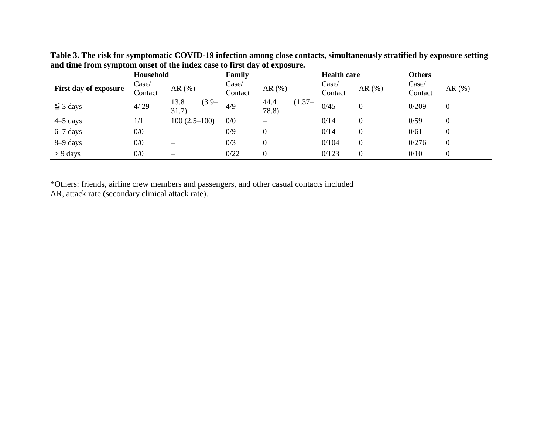|                              | Household                 |                           | Family           |                            | <b>Health care</b> |                  | <b>Others</b>    |          |
|------------------------------|---------------------------|---------------------------|------------------|----------------------------|--------------------|------------------|------------------|----------|
| <b>First day of exposure</b> | $\text{Case}/$<br>Contact | AR $(%)$                  | Case/<br>Contact | AR $(\% )$                 | Case/<br>Contact   | AR $(%)$         | Case/<br>Contact | AR $(%)$ |
| $\leq$ 3 days                | 4/29                      | 13.8<br>$(3.9 -$<br>31.7) | 4/9              | $(1.37 -$<br>44.4<br>78.8) | 0/45               | 0                | 0/209            | 0        |
| $4-5$ days                   | 1/1                       | $100(2.5-100)$            | 0/0              |                            | 0/14               | $\boldsymbol{0}$ | 0/59             | 0        |
| $6-7$ days                   | 0/0                       |                           | 0/9              | $\theta$                   | 0/14               | $\boldsymbol{0}$ | 0/61             | 0        |
| $8-9$ days                   | 0/0                       |                           | 0/3              | $\boldsymbol{0}$           | 0/104              | $\boldsymbol{0}$ | 0/276            | 0        |
| $> 9$ days                   | 0/0                       |                           | 0/22             | $\mathbf{0}$               | 0/123              | $\boldsymbol{0}$ | 0/10             | 0        |

**Table 3. The risk for symptomatic COVID-19 infection among close contacts, simultaneously stratified by exposure setting and time from symptom onset of the index case to first day of exposure.** 

\*Others: friends, airline crew members and passengers, and other casual contacts included

AR, attack rate (secondary clinical attack rate).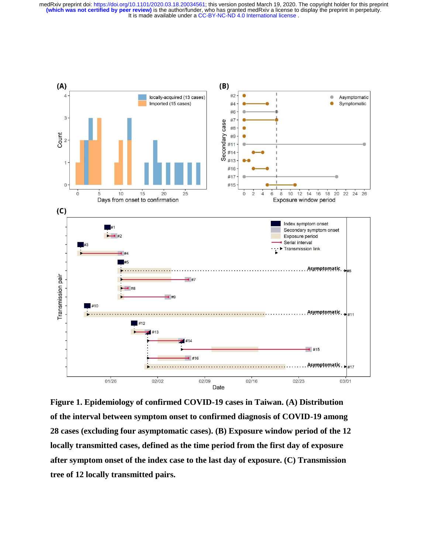

**Figure 1. Epidemiology of confirmed COVID-19 cases in Taiwan. (A) Distribution of the interval between symptom onset to confirmed diagnosis of COVID-19 among 28 cases (excluding four asymptomatic cases). (B) Exposure window period of the 12 locally transmitted cases, defined as the time period from the first day of exposure after symptom onset of the index case to the last day of exposure. (C) Transmission tree of 12 locally transmitted pairs.**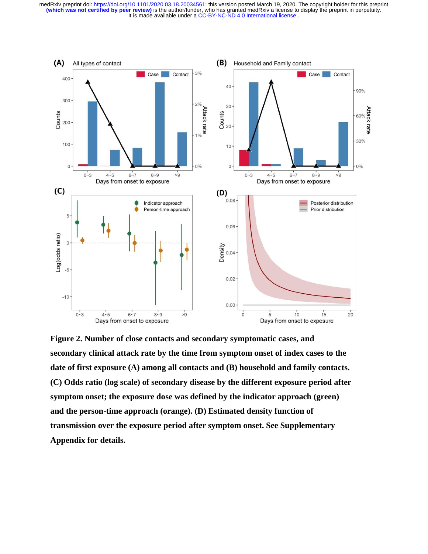

**Figure 2. Number of close contacts and secondary symptomatic cases, and secondary clinical attack rate by the time from symptom onset of index cases to the date of first exposure (A) among all contacts and (B) household and family contacts. (C) Odds ratio (log scale) of secondary disease by the different exposure period after symptom onset; the exposure dose was defined by the indicator approach (green) and the person-time approach (orange). (D) Estimated density function of transmission over the exposure period after symptom onset. See Supplementary Appendix for details.**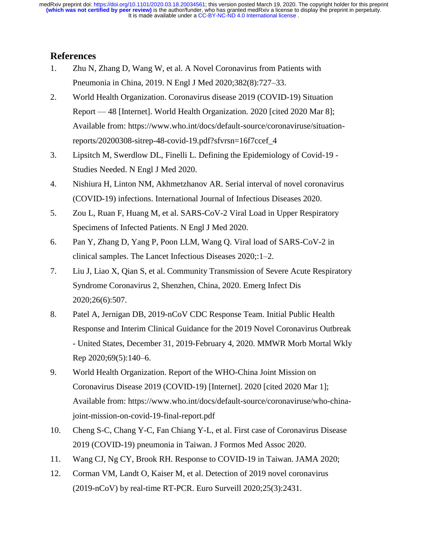## **References**

- 1. Zhu N, Zhang D, Wang W, et al. A Novel Coronavirus from Patients with Pneumonia in China, 2019. N Engl J Med 2020;382(8):727–33.
- 2. World Health Organization. Coronavirus disease 2019 (COVID-19) Situation Report — 48 [Internet]. World Health Organization. 2020 [cited 2020 Mar 8]; Available from: https://www.who.int/docs/default-source/coronaviruse/situationreports/20200308-sitrep-48-covid-19.pdf?sfvrsn=16f7ccef\_4
- 3. Lipsitch M, Swerdlow DL, Finelli L. Defining the Epidemiology of Covid-19 Studies Needed. N Engl J Med 2020.
- 4. Nishiura H, Linton NM, Akhmetzhanov AR. Serial interval of novel coronavirus (COVID-19) infections. International Journal of Infectious Diseases 2020.
- 5. Zou L, Ruan F, Huang M, et al. SARS-CoV-2 Viral Load in Upper Respiratory Specimens of Infected Patients. N Engl J Med 2020.
- 6. Pan Y, Zhang D, Yang P, Poon LLM, Wang Q. Viral load of SARS-CoV-2 in clinical samples. The Lancet Infectious Diseases 2020;:1–2.
- 7. Liu J, Liao X, Qian S, et al. Community Transmission of Severe Acute Respiratory Syndrome Coronavirus 2, Shenzhen, China, 2020. Emerg Infect Dis 2020;26(6):507.
- 8. Patel A, Jernigan DB, 2019-nCoV CDC Response Team. Initial Public Health Response and Interim Clinical Guidance for the 2019 Novel Coronavirus Outbreak - United States, December 31, 2019-February 4, 2020. MMWR Morb Mortal Wkly Rep 2020;69(5):140–6.
- 9. World Health Organization. Report of the WHO-China Joint Mission on Coronavirus Disease 2019 (COVID-19) [Internet]. 2020 [cited 2020 Mar 1]; Available from: https://www.who.int/docs/default-source/coronaviruse/who-chinajoint-mission-on-covid-19-final-report.pdf
- 10. Cheng S-C, Chang Y-C, Fan Chiang Y-L, et al. First case of Coronavirus Disease 2019 (COVID-19) pneumonia in Taiwan. J Formos Med Assoc 2020.
- 11. Wang CJ, Ng CY, Brook RH. Response to COVID-19 in Taiwan. JAMA 2020;
- 12. Corman VM, Landt O, Kaiser M, et al. Detection of 2019 novel coronavirus (2019-nCoV) by real-time RT-PCR. Euro Surveill 2020;25(3):2431.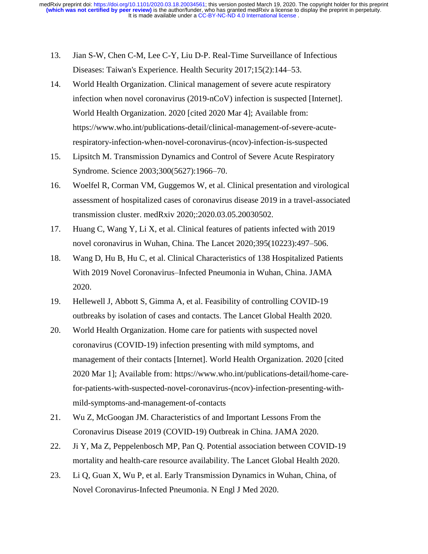- 13. Jian S-W, Chen C-M, Lee C-Y, Liu D-P. Real-Time Surveillance of Infectious Diseases: Taiwan's Experience. Health Security 2017;15(2):144–53.
- 14. World Health Organization. Clinical management of severe acute respiratory infection when novel coronavirus (2019-nCoV) infection is suspected [Internet]. World Health Organization. 2020 [cited 2020 Mar 4]; Available from: https://www.who.int/publications-detail/clinical-management-of-severe-acuterespiratory-infection-when-novel-coronavirus-(ncov)-infection-is-suspected
- 15. Lipsitch M. Transmission Dynamics and Control of Severe Acute Respiratory Syndrome. Science 2003;300(5627):1966–70.
- 16. Woelfel R, Corman VM, Guggemos W, et al. Clinical presentation and virological assessment of hospitalized cases of coronavirus disease 2019 in a travel-associated transmission cluster. medRxiv 2020;:2020.03.05.20030502.
- 17. Huang C, Wang Y, Li X, et al. Clinical features of patients infected with 2019 novel coronavirus in Wuhan, China. The Lancet 2020;395(10223):497–506.
- 18. Wang D, Hu B, Hu C, et al. Clinical Characteristics of 138 Hospitalized Patients With 2019 Novel Coronavirus–Infected Pneumonia in Wuhan, China. JAMA 2020.
- 19. Hellewell J, Abbott S, Gimma A, et al. Feasibility of controlling COVID-19 outbreaks by isolation of cases and contacts. The Lancet Global Health 2020.
- 20. World Health Organization. Home care for patients with suspected novel coronavirus (COVID-19) infection presenting with mild symptoms, and management of their contacts [Internet]. World Health Organization. 2020 [cited 2020 Mar 1]; Available from: https://www.who.int/publications-detail/home-carefor-patients-with-suspected-novel-coronavirus-(ncov)-infection-presenting-withmild-symptoms-and-management-of-contacts
- 21. Wu Z, McGoogan JM. Characteristics of and Important Lessons From the Coronavirus Disease 2019 (COVID-19) Outbreak in China. JAMA 2020.
- 22. Ji Y, Ma Z, Peppelenbosch MP, Pan Q. Potential association between COVID-19 mortality and health-care resource availability. The Lancet Global Health 2020.
- 23. Li Q, Guan X, Wu P, et al. Early Transmission Dynamics in Wuhan, China, of Novel Coronavirus-Infected Pneumonia. N Engl J Med 2020.